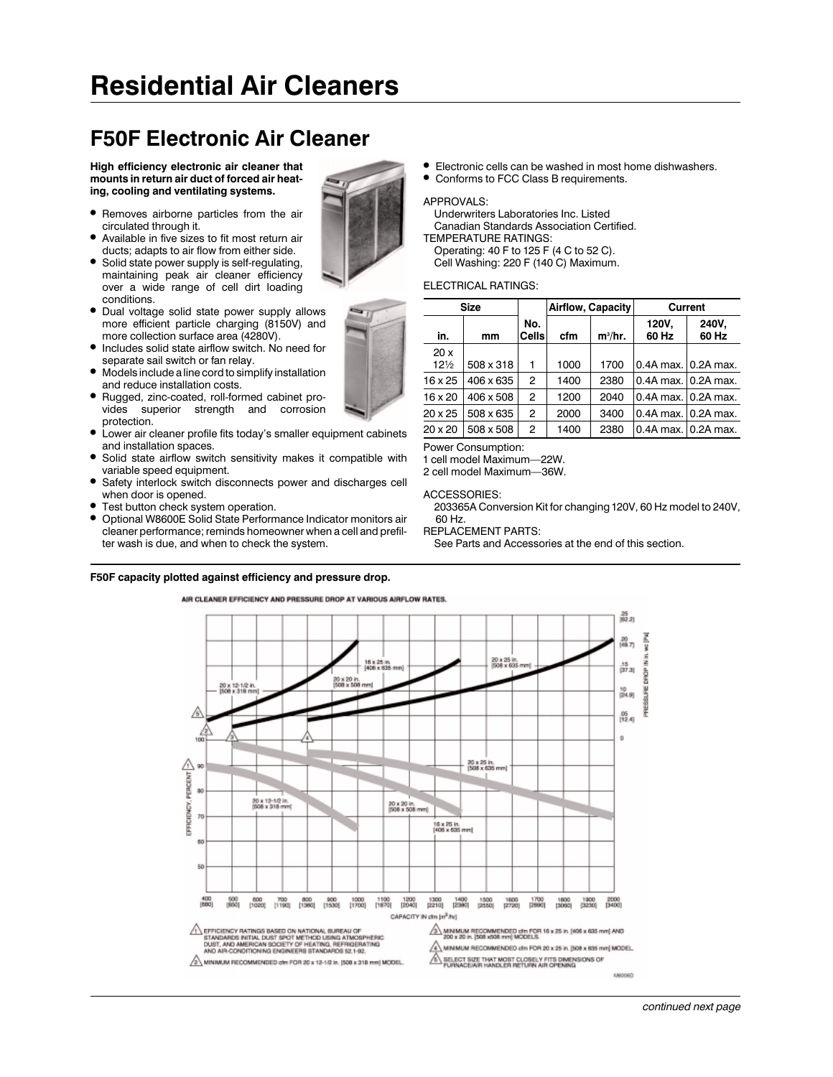# **Residential Air Cleaners**

# **F50F Electronic Air Cleaner**

**High efficiency electronic air cleaner that mounts in return air duct of forced air heating, cooling and ventilating systems.**

- 1 Removes airborne particles from the air circulated through it.
- 1 Available in five sizes to fit most return air ducts; adapts to air flow from either side.
- Solid state power supply is self-regulating, maintaining peak air cleaner efficiency over a wide range of cell dirt loading conditions.
- 1 Dual voltage solid state power supply allows more efficient particle charging (8150V) and more collection surface area (4280V).
- Includes solid state airflow switch. No need for separate sail switch or fan relay.
- $\bullet$  Models include a line cord to simplify installation and reduce installation costs.
- 1 Rugged, zinc-coated, roll-formed cabinet provides superior strength and corrosion protection.
- $\bullet$  Lower air cleaner profile fits today's smaller equipment cabinets and installation spaces.
- 1 Solid state airflow switch sensitivity makes it compatible with variable speed equipment.
- 1 Safety interlock switch disconnects power and discharges cell when door is opened.
- Test button check system operation.<br>● Ontional W8600F Solid State Perform
- 1 Optional W8600E Solid State Performance Indicator monitors air cleaner performance; reminds homeowner when a cell and prefilter wash is due, and when to check the system.

#### **F50F capacity plotted against efficiency and pressure drop.**

- 1 Electronic cells can be washed in most home dishwashers.
- Conforms to FCC Class B requirements.

#### APPROVALS:

Underwriters Laboratories Inc. Listed Canadian Standards Association Certified. TEMPERATURE RATINGS: Operating: 40 F to 125 F (4 C to 52 C).

Cell Washing: 220 F (140 C) Maximum.

## ELECTRICAL RATINGS:

|                        | <b>Size</b> |                     | Airflow, Capacity |           | Current             |                |  |  |
|------------------------|-------------|---------------------|-------------------|-----------|---------------------|----------------|--|--|
| in.                    | mm          | No.<br><b>Cells</b> | cfm               | $m^3/hr.$ | 120V,<br>60 Hz      | 240V,<br>60 Hz |  |  |
| 20x<br>$12\frac{1}{2}$ | 508 x 318   | 1                   | 1000              | 1700      | 0.4A max. 0.2A max. |                |  |  |
| 16 x 25                | 406 x 635   | 2                   | 1400              | 2380      | 0.4A max. 0.2A max. |                |  |  |
| $16 \times 20$         | 406 x 508   | 2                   | 1200              | 2040      | 0.4A max. 0.2A max. |                |  |  |
| $20 \times 25$         | 508 x 635   | 2                   | 2000              | 3400      | 0.4A max. 0.2A max. |                |  |  |
| $20 \times 20$         | 508 x 508   | 2                   | 1400              | 2380      | 0.4A max. 0.2A max. |                |  |  |

Power Consumption:

1 cell model Maximum—22W.

2 cell model Maximum—36W.

ACCESSORIES:

203365A Conversion Kit for changing 120V, 60 Hz model to 240V, 60 Hz.

REPLACEMENT PARTS:

See Parts and Accessories at the end of this section.